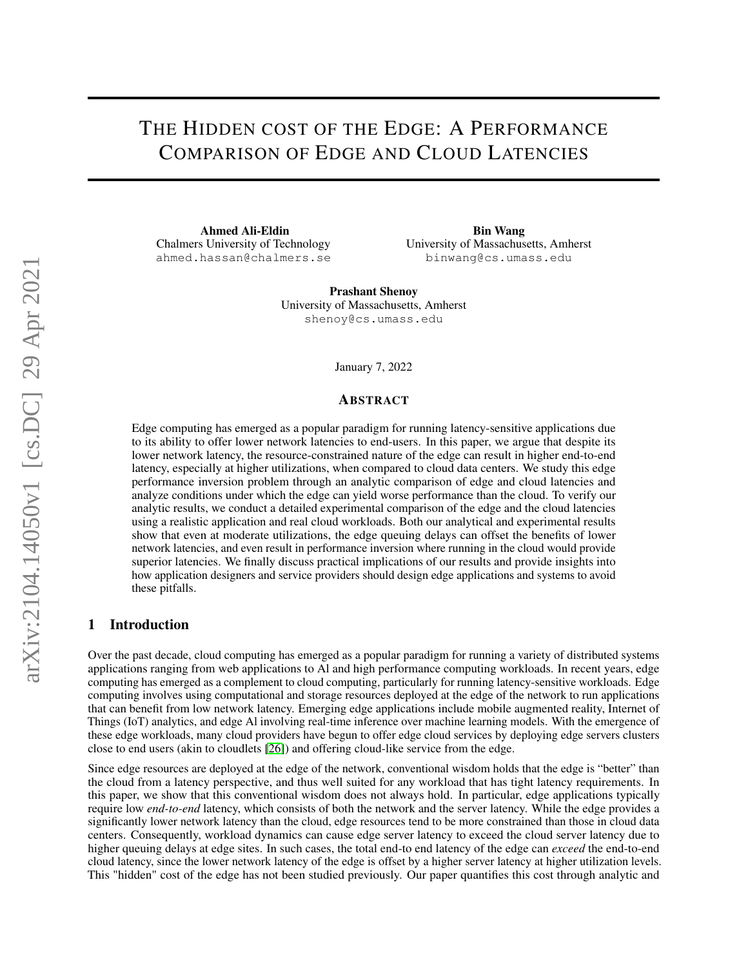# THE HIDDEN COST OF THE EDGE: A PERFORMANCE COMPARISON OF EDGE AND CLOUD LATENCIES

Ahmed Ali-Eldin Chalmers University of Technology ahmed.hassan@chalmers.se

Bin Wang University of Massachusetts, Amherst binwang@cs.umass.edu

Prashant Shenoy University of Massachusetts, Amherst shenoy@cs.umass.edu

January 7, 2022

#### ABSTRACT

Edge computing has emerged as a popular paradigm for running latency-sensitive applications due to its ability to offer lower network latencies to end-users. In this paper, we argue that despite its lower network latency, the resource-constrained nature of the edge can result in higher end-to-end latency, especially at higher utilizations, when compared to cloud data centers. We study this edge performance inversion problem through an analytic comparison of edge and cloud latencies and analyze conditions under which the edge can yield worse performance than the cloud. To verify our analytic results, we conduct a detailed experimental comparison of the edge and the cloud latencies using a realistic application and real cloud workloads. Both our analytical and experimental results show that even at moderate utilizations, the edge queuing delays can offset the benefits of lower network latencies, and even result in performance inversion where running in the cloud would provide superior latencies. We finally discuss practical implications of our results and provide insights into how application designers and service providers should design edge applications and systems to avoid these pitfalls.

## 1 Introduction

Over the past decade, cloud computing has emerged as a popular paradigm for running a variety of distributed systems applications ranging from web applications to Al and high performance computing workloads. In recent years, edge computing has emerged as a complement to cloud computing, particularly for running latency-sensitive workloads. Edge computing involves using computational and storage resources deployed at the edge of the network to run applications that can benefit from low network latency. Emerging edge applications include mobile augmented reality, Internet of Things (IoT) analytics, and edge Al involving real-time inference over machine learning models. With the emergence of these edge workloads, many cloud providers have begun to offer edge cloud services by deploying edge servers clusters close to end users (akin to cloudlets [\[26\]](#page-14-0)) and offering cloud-like service from the edge.

Since edge resources are deployed at the edge of the network, conventional wisdom holds that the edge is "better" than the cloud from a latency perspective, and thus well suited for any workload that has tight latency requirements. In this paper, we show that this conventional wisdom does not always hold. In particular, edge applications typically require low *end-to-end* latency, which consists of both the network and the server latency. While the edge provides a significantly lower network latency than the cloud, edge resources tend to be more constrained than those in cloud data centers. Consequently, workload dynamics can cause edge server latency to exceed the cloud server latency due to higher queuing delays at edge sites. In such cases, the total end-to end latency of the edge can *exceed* the end-to-end cloud latency, since the lower network latency of the edge is offset by a higher server latency at higher utilization levels. This "hidden" cost of the edge has not been studied previously. Our paper quantifies this cost through analytic and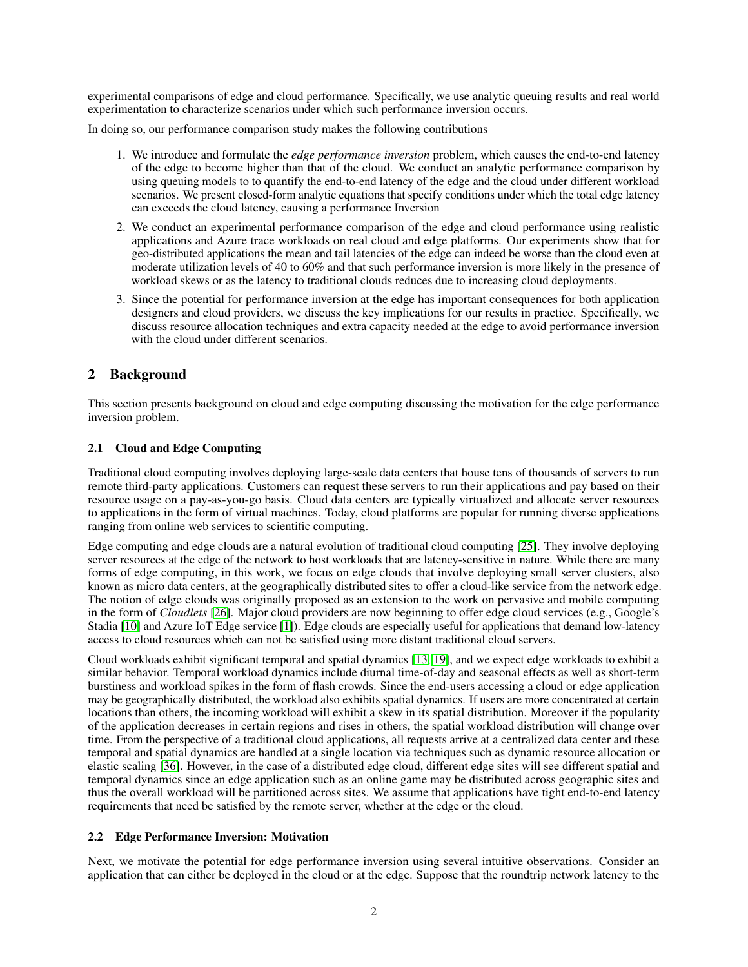experimental comparisons of edge and cloud performance. Specifically, we use analytic queuing results and real world experimentation to characterize scenarios under which such performance inversion occurs.

In doing so, our performance comparison study makes the following contributions

- 1. We introduce and formulate the *edge performance inversion* problem, which causes the end-to-end latency of the edge to become higher than that of the cloud. We conduct an analytic performance comparison by using queuing models to to quantify the end-to-end latency of the edge and the cloud under different workload scenarios. We present closed-form analytic equations that specify conditions under which the total edge latency can exceeds the cloud latency, causing a performance Inversion
- 2. We conduct an experimental performance comparison of the edge and cloud performance using realistic applications and Azure trace workloads on real cloud and edge platforms. Our experiments show that for geo-distributed applications the mean and tail latencies of the edge can indeed be worse than the cloud even at moderate utilization levels of 40 to 60% and that such performance inversion is more likely in the presence of workload skews or as the latency to traditional clouds reduces due to increasing cloud deployments.
- 3. Since the potential for performance inversion at the edge has important consequences for both application designers and cloud providers, we discuss the key implications for our results in practice. Specifically, we discuss resource allocation techniques and extra capacity needed at the edge to avoid performance inversion with the cloud under different scenarios.

# 2 Background

This section presents background on cloud and edge computing discussing the motivation for the edge performance inversion problem.

## 2.1 Cloud and Edge Computing

Traditional cloud computing involves deploying large-scale data centers that house tens of thousands of servers to run remote third-party applications. Customers can request these servers to run their applications and pay based on their resource usage on a pay-as-you-go basis. Cloud data centers are typically virtualized and allocate server resources to applications in the form of virtual machines. Today, cloud platforms are popular for running diverse applications ranging from online web services to scientific computing.

Edge computing and edge clouds are a natural evolution of traditional cloud computing [\[25\]](#page-14-1). They involve deploying server resources at the edge of the network to host workloads that are latency-sensitive in nature. While there are many forms of edge computing, in this work, we focus on edge clouds that involve deploying small server clusters, also known as micro data centers, at the geographically distributed sites to offer a cloud-like service from the network edge. The notion of edge clouds was originally proposed as an extension to the work on pervasive and mobile computing in the form of *Cloudlets* [\[26\]](#page-14-0). Major cloud providers are now beginning to offer edge cloud services (e.g., Google's Stadia [\[10\]](#page-13-0) and Azure IoT Edge service [\[1\]](#page-13-1)). Edge clouds are especially useful for applications that demand low-latency access to cloud resources which can not be satisfied using more distant traditional cloud servers.

Cloud workloads exhibit significant temporal and spatial dynamics [\[13,](#page-14-2) [19\]](#page-14-3), and we expect edge workloads to exhibit a similar behavior. Temporal workload dynamics include diurnal time-of-day and seasonal effects as well as short-term burstiness and workload spikes in the form of flash crowds. Since the end-users accessing a cloud or edge application may be geographically distributed, the workload also exhibits spatial dynamics. If users are more concentrated at certain locations than others, the incoming workload will exhibit a skew in its spatial distribution. Moreover if the popularity of the application decreases in certain regions and rises in others, the spatial workload distribution will change over time. From the perspective of a traditional cloud applications, all requests arrive at a centralized data center and these temporal and spatial dynamics are handled at a single location via techniques such as dynamic resource allocation or elastic scaling [\[36\]](#page-14-4). However, in the case of a distributed edge cloud, different edge sites will see different spatial and temporal dynamics since an edge application such as an online game may be distributed across geographic sites and thus the overall workload will be partitioned across sites. We assume that applications have tight end-to-end latency requirements that need be satisfied by the remote server, whether at the edge or the cloud.

## <span id="page-1-0"></span>2.2 Edge Performance Inversion: Motivation

Next, we motivate the potential for edge performance inversion using several intuitive observations. Consider an application that can either be deployed in the cloud or at the edge. Suppose that the roundtrip network latency to the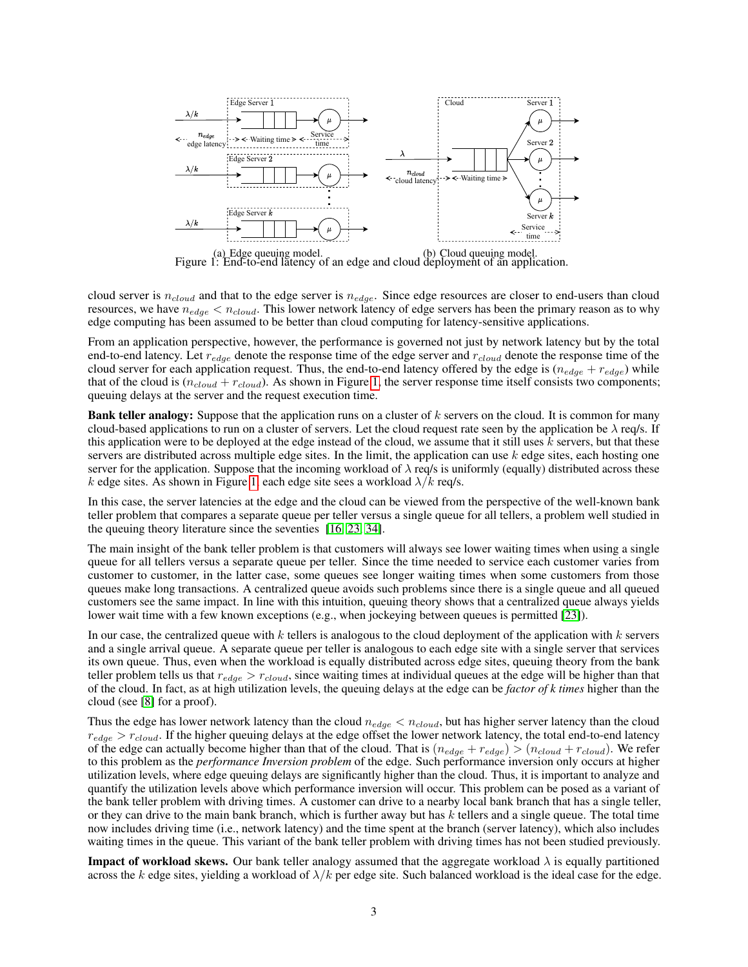

<span id="page-2-0"></span>Figure 1: End-to-end latency of an edge and cloud deployment of an application.

cloud server is  $n_{cloud}$  and that to the edge server is  $n_{edge}$ . Since edge resources are closer to end-users than cloud resources, we have  $n_{edge} < n_{cloud}$ . This lower network latency of edge servers has been the primary reason as to why edge computing has been assumed to be better than cloud computing for latency-sensitive applications.

From an application perspective, however, the performance is governed not just by network latency but by the total end-to-end latency. Let  $r_{edge}$  denote the response time of the edge server and  $r_{cloud}$  denote the response time of the cloud server for each application request. Thus, the end-to-end latency offered by the edge is  $(n_{edge} + r_{edge})$  while that of the cloud is  $(n_{cloud} + r_{cloud})$ . As shown in Figure [1,](#page-2-0) the server response time itself consists two components; queuing delays at the server and the request execution time.

**Bank teller analogy:** Suppose that the application runs on a cluster of  $k$  servers on the cloud. It is common for many cloud-based applications to run on a cluster of servers. Let the cloud request rate seen by the application be  $\lambda$  req/s. If this application were to be deployed at the edge instead of the cloud, we assume that it still uses  $k$  servers, but that these servers are distributed across multiple edge sites. In the limit, the application can use  $k$  edge sites, each hosting one server for the application. Suppose that the incoming workload of  $\lambda$  req/s is uniformly (equally) distributed across these k edge sites. As shown in Figure [1,](#page-2-0) each edge site sees a workload  $\lambda/k$  req/s.

In this case, the server latencies at the edge and the cloud can be viewed from the perspective of the well-known bank teller problem that compares a separate queue per teller versus a single queue for all tellers, a problem well studied in the queuing theory literature since the seventies [\[16,](#page-14-5) [23,](#page-14-6) [34\]](#page-14-7).

The main insight of the bank teller problem is that customers will always see lower waiting times when using a single queue for all tellers versus a separate queue per teller. Since the time needed to service each customer varies from customer to customer, in the latter case, some queues see longer waiting times when some customers from those queues make long transactions. A centralized queue avoids such problems since there is a single queue and all queued customers see the same impact. In line with this intuition, queuing theory shows that a centralized queue always yields lower wait time with a few known exceptions (e.g., when jockeying between queues is permitted [\[23\]](#page-14-6)).

In our case, the centralized queue with k tellers is analogous to the cloud deployment of the application with  $k$  servers and a single arrival queue. A separate queue per teller is analogous to each edge site with a single server that services its own queue. Thus, even when the workload is equally distributed across edge sites, queuing theory from the bank teller problem tells us that  $r_{edge} > r_{cloud}$ , since waiting times at individual queues at the edge will be higher than that of the cloud. In fact, as at high utilization levels, the queuing delays at the edge can be *factor of k times* higher than the cloud (see [\[8\]](#page-13-2) for a proof).

Thus the edge has lower network latency than the cloud  $n_{edge} < n_{cloud}$ , but has higher server latency than the cloud  $r_{edge} > r_{cloud}$ . If the higher queuing delays at the edge offset the lower network latency, the total end-to-end latency of the edge can actually become higher than that of the cloud. That is  $(n_{edge} + r_{edge}) > (n_{cloud} + r_{cloud})$ . We refer to this problem as the *performance Inversion problem* of the edge. Such performance inversion only occurs at higher utilization levels, where edge queuing delays are significantly higher than the cloud. Thus, it is important to analyze and quantify the utilization levels above which performance inversion will occur. This problem can be posed as a variant of the bank teller problem with driving times. A customer can drive to a nearby local bank branch that has a single teller, or they can drive to the main bank branch, which is further away but has  $k$  tellers and a single queue. The total time now includes driving time (i.e., network latency) and the time spent at the branch (server latency), which also includes waiting times in the queue. This variant of the bank teller problem with driving times has not been studied previously.

**Impact of workload skews.** Our bank teller analogy assumed that the aggregate workload  $\lambda$  is equally partitioned across the k edge sites, yielding a workload of  $\lambda/k$  per edge site. Such balanced workload is the ideal case for the edge.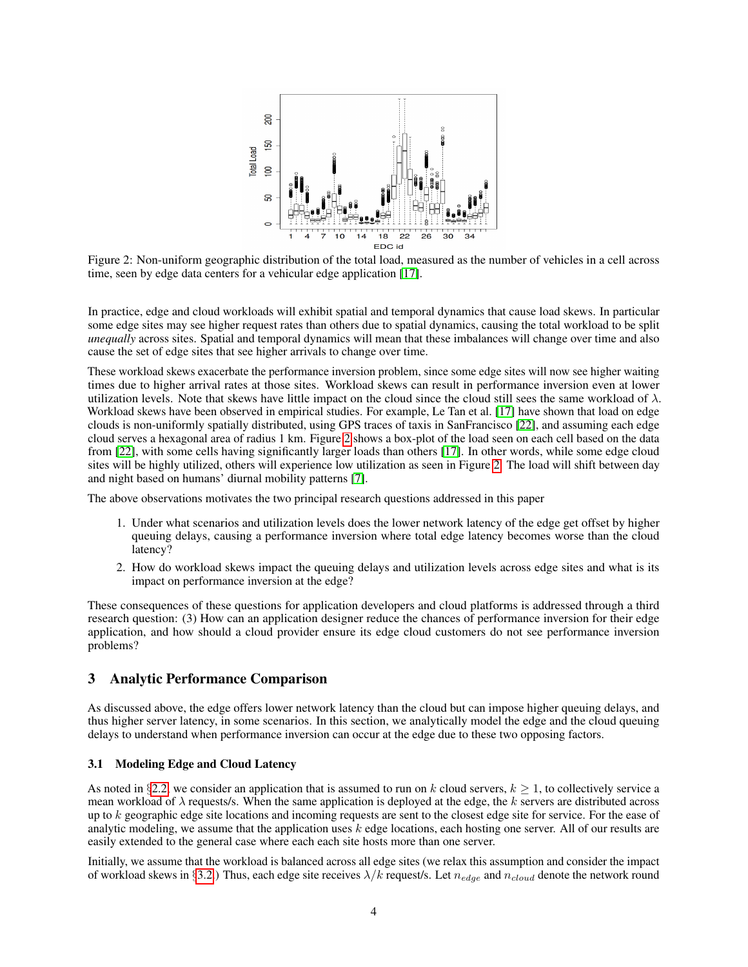

<span id="page-3-0"></span>Figure 2: Non-uniform geographic distribution of the total load, measured as the number of vehicles in a cell across time, seen by edge data centers for a vehicular edge application [\[17\]](#page-14-8).

In practice, edge and cloud workloads will exhibit spatial and temporal dynamics that cause load skews. In particular some edge sites may see higher request rates than others due to spatial dynamics, causing the total workload to be split *unequally* across sites. Spatial and temporal dynamics will mean that these imbalances will change over time and also cause the set of edge sites that see higher arrivals to change over time.

These workload skews exacerbate the performance inversion problem, since some edge sites will now see higher waiting times due to higher arrival rates at those sites. Workload skews can result in performance inversion even at lower utilization levels. Note that skews have little impact on the cloud since the cloud still sees the same workload of  $\lambda$ . Workload skews have been observed in empirical studies. For example, Le Tan et al. [\[17\]](#page-14-8) have shown that load on edge clouds is non-uniformly spatially distributed, using GPS traces of taxis in SanFrancisco [\[22\]](#page-14-9), and assuming each edge cloud serves a hexagonal area of radius 1 km. Figure [2](#page-3-0) shows a box-plot of the load seen on each cell based on the data from [\[22\]](#page-14-9), with some cells having significantly larger loads than others [\[17\]](#page-14-8). In other words, while some edge cloud sites will be highly utilized, others will experience low utilization as seen in Figure [2.](#page-3-0) The load will shift between day and night based on humans' diurnal mobility patterns [\[7\]](#page-13-3).

The above observations motivates the two principal research questions addressed in this paper

- 1. Under what scenarios and utilization levels does the lower network latency of the edge get offset by higher queuing delays, causing a performance inversion where total edge latency becomes worse than the cloud latency?
- 2. How do workload skews impact the queuing delays and utilization levels across edge sites and what is its impact on performance inversion at the edge?

These consequences of these questions for application developers and cloud platforms is addressed through a third research question: (3) How can an application designer reduce the chances of performance inversion for their edge application, and how should a cloud provider ensure its edge cloud customers do not see performance inversion problems?

#### <span id="page-3-1"></span>3 Analytic Performance Comparison

As discussed above, the edge offers lower network latency than the cloud but can impose higher queuing delays, and thus higher server latency, in some scenarios. In this section, we analytically model the edge and the cloud queuing delays to understand when performance inversion can occur at the edge due to these two opposing factors.

#### 3.1 Modeling Edge and Cloud Latency

As noted in §[2.2,](#page-1-0) we consider an application that is assumed to run on k cloud servers,  $k \ge 1$ , to collectively service a mean workload of  $\lambda$  requests/s. When the same application is deployed at the edge, the k servers are distributed across up to  $k$  geographic edge site locations and incoming requests are sent to the closest edge site for service. For the ease of analytic modeling, we assume that the application uses  $k$  edge locations, each hosting one server. All of our results are easily extended to the general case where each each site hosts more than one server.

Initially, we assume that the workload is balanced across all edge sites (we relax this assumption and consider the impact of workload skews in §[3.2.](#page-7-0)) Thus, each edge site receives  $\lambda/k$  request/s. Let  $n_{edge}$  and  $n_{cloud}$  denote the network round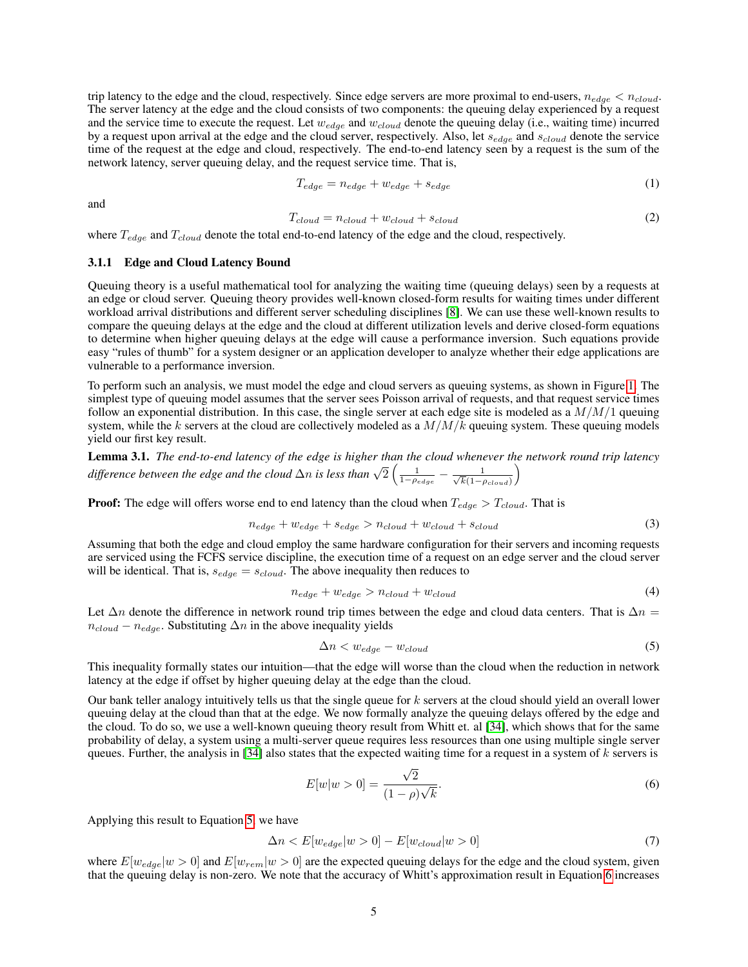trip latency to the edge and the cloud, respectively. Since edge servers are more proximal to end-users,  $n_{edge} < n_{cloud}$ . The server latency at the edge and the cloud consists of two components: the queuing delay experienced by a request and the service time to execute the request. Let  $w_{edge}$  and  $w_{cloud}$  denote the queuing delay (i.e., waiting time) incurred by a request upon arrival at the edge and the cloud server, respectively. Also, let  $s_{edge}$  and  $s_{cloud}$  denote the service time of the request at the edge and cloud, respectively. The end-to-end latency seen by a request is the sum of the network latency, server queuing delay, and the request service time. That is,

$$
T_{edge} = n_{edge} + w_{edge} + s_{edge} \tag{1}
$$

and

$$
T_{cloud} = n_{cloud} + w_{cloud} + s_{cloud}
$$
\n<sup>(2)</sup>

where  $T_{edge}$  and  $T_{cloud}$  denote the total end-to-end latency of the edge and the cloud, respectively.

#### 3.1.1 Edge and Cloud Latency Bound

Queuing theory is a useful mathematical tool for analyzing the waiting time (queuing delays) seen by a requests at an edge or cloud server. Queuing theory provides well-known closed-form results for waiting times under different workload arrival distributions and different server scheduling disciplines [\[8\]](#page-13-2). We can use these well-known results to compare the queuing delays at the edge and the cloud at different utilization levels and derive closed-form equations to determine when higher queuing delays at the edge will cause a performance inversion. Such equations provide easy "rules of thumb" for a system designer or an application developer to analyze whether their edge applications are vulnerable to a performance inversion.

To perform such an analysis, we must model the edge and cloud servers as queuing systems, as shown in Figure [1.](#page-2-0) The simplest type of queuing model assumes that the server sees Poisson arrival of requests, and that request service times follow an exponential distribution. In this case, the single server at each edge site is modeled as a  $M/M/1$  queuing system, while the k servers at the cloud are collectively modeled as a  $M/M/k$  queuing system. These queuing models yield our first key result.

<span id="page-4-2"></span>Lemma 3.1. *The end-to-end latency of the edge is higher than the cloud whenever the network round trip latency* difference between the edge and the cloud  $\Delta n$  is less than  $\sqrt{2} \left( \frac{1}{1-\rho_{edge}} - \frac{1}{\sqrt{k}(1-\rho_{edge})} \right)$  $k(1-\rho_{cloud})$  $\setminus$ 

**Proof:** The edge will offers worse end to end latency than the cloud when  $T_{edge} > T_{cloud}$ . That is

<span id="page-4-3"></span>
$$
n_{edge} + w_{edge} + s_{edge} > n_{cloud} + w_{cloud} + s_{cloud} \tag{3}
$$

Assuming that both the edge and cloud employ the same hardware configuration for their servers and incoming requests are serviced using the FCFS service discipline, the execution time of a request on an edge server and the cloud server will be identical. That is,  $s_{edge} = s_{cloud}$ . The above inequality then reduces to

$$
n_{edge} + w_{edge} > n_{cloud} + w_{cloud}
$$
\n<sup>(4)</sup>

Let  $\Delta n$  denote the difference in network round trip times between the edge and cloud data centers. That is  $\Delta n =$  $n_{cloud} - n_{edge}$ . Substituting  $\Delta n$  in the above inequality yields

<span id="page-4-0"></span>
$$
\Delta n < w_{edge} - w_{cloud} \tag{5}
$$

This inequality formally states our intuition—that the edge will worse than the cloud when the reduction in network latency at the edge if offset by higher queuing delay at the edge than the cloud.

Our bank teller analogy intuitively tells us that the single queue for k servers at the cloud should yield an overall lower queuing delay at the cloud than that at the edge. We now formally analyze the queuing delays offered by the edge and the cloud. To do so, we use a well-known queuing theory result from Whitt et. al [\[34\]](#page-14-7), which shows that for the same probability of delay, a system using a multi-server queue requires less resources than one using multiple single server queues. Further, the analysis in  $[34]$  also states that the expected waiting time for a request in a system of k servers is

<span id="page-4-1"></span>
$$
E[w|w > 0] = \frac{\sqrt{2}}{(1 - \rho)\sqrt{k}}.\tag{6}
$$

Applying this result to Equation [5,](#page-4-0) we have

$$
\Delta n < E[w_{edge}|w > 0] - E[w_{cloud}|w > 0] \tag{7}
$$

where  $E[w_{edge}|w>0]$  and  $E[w_{rem}|w>0]$  are the expected queuing delays for the edge and the cloud system, given that the queuing delay is non-zero. We note that the accuracy of Whitt's approximation result in Equation [6](#page-4-1) increases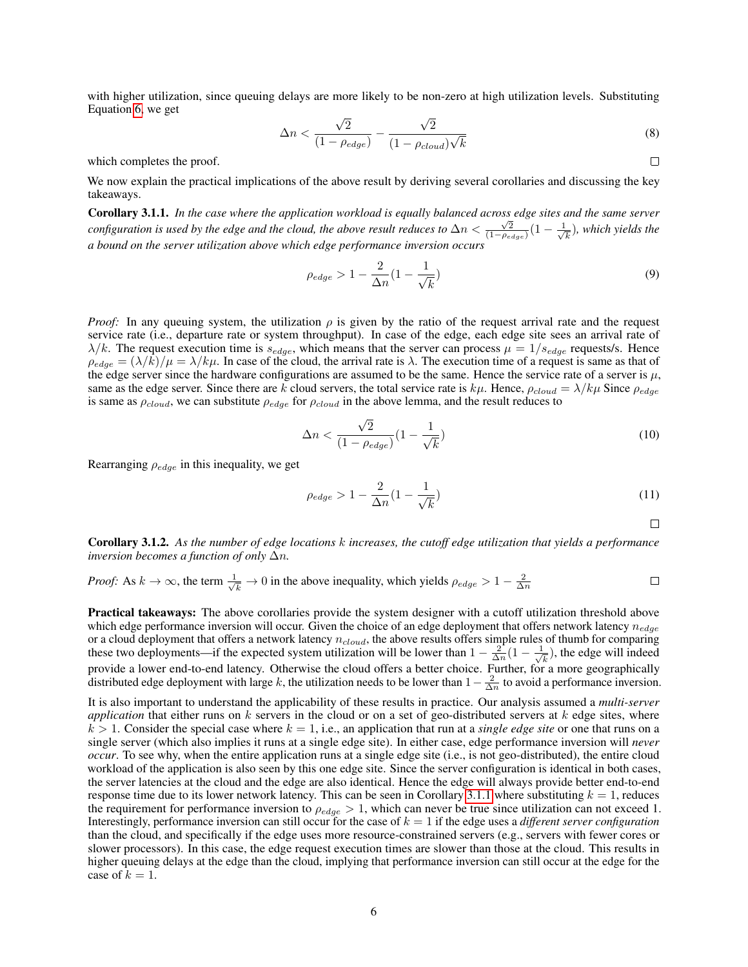with higher utilization, since queuing delays are more likely to be non-zero at high utilization levels. Substituting Equation [6,](#page-4-1) we get √ √

$$
\Delta n < \frac{\sqrt{2}}{(1 - \rho_{edge})} - \frac{\sqrt{2}}{(1 - \rho_{cloud})\sqrt{k}} \tag{8}
$$

which completes the proof.

We now explain the practical implications of the above result by deriving several corollaries and discussing the key takeaways.

<span id="page-5-1"></span>Corollary 3.1.1. *In the case where the application workload is equally balanced across edge sites and the same server* **configuration is used by the edge and the cloud, the above result reduces to**  $\Delta n < \frac{\sqrt{2}}{(1-p_{edge})}(1-\frac{1}{\sqrt{2}})$  $_{\overline{k}}$ ), which yields the *a bound on the server utilization above which edge performance inversion occurs*

<span id="page-5-0"></span>
$$
\rho_{edge} > 1 - \frac{2}{\Delta n} \left( 1 - \frac{1}{\sqrt{k}} \right) \tag{9}
$$

*Proof:* In any queuing system, the utilization  $\rho$  is given by the ratio of the request arrival rate and the request service rate (i.e., departure rate or system throughput). In case of the edge, each edge site sees an arrival rate of  $\lambda/k$ . The request execution time is  $s_{edge}$ , which means that the server can process  $\mu = 1/s_{edge}$  requests/s. Hence  $\rho_{edge} = (\lambda/k)/\mu = \lambda/k\mu$ . In case of the cloud, the arrival rate is  $\lambda$ . The execution time of a request is same as that of the edge server since the hardware configurations are assumed to be the same. Hence the service rate of a server is  $\mu$ , same as the edge server. Since there are k cloud servers, the total service rate is  $k\mu$ . Hence,  $\rho_{cloud} = \lambda/k\mu$  Since  $\rho_{edge}$ is same as  $\rho_{cloud}$ , we can substitute  $\rho_{edge}$  for  $\rho_{cloud}$  in the above lemma, and the result reduces to

$$
\Delta n < \frac{\sqrt{2}}{\left(1 - \rho_{edge}\right)} \left(1 - \frac{1}{\sqrt{k}}\right) \tag{10}
$$

Rearranging  $\rho_{edge}$  in this inequality, we get

$$
\rho_{edge} > 1 - \frac{2}{\Delta n} \left( 1 - \frac{1}{\sqrt{k}} \right) \tag{11}
$$

 $\Box$ 

 $\Box$ 

<span id="page-5-2"></span>Corollary 3.1.2. *As the number of edge locations* k *increases, the cutoff edge utilization that yields a performance inversion becomes a function of only*  $\Delta n$ *.* 

*Proof:* As 
$$
k \to \infty
$$
, the term  $\frac{1}{\sqrt{k}} \to 0$  in the above inequality, which yields  $\rho_{edge} > 1 - \frac{2}{\Delta n}$ 

Practical takeaways: The above corollaries provide the system designer with a cutoff utilization threshold above which edge performance inversion will occur. Given the choice of an edge deployment that offers network latency  $n_{edoe}$ or a cloud deployment that offers a network latency  $n_{cloud}$ , the above results offers simple rules of thumb for comparing these two deployments—if the expected system utilization will be lower than  $1 - \frac{2}{\Delta n}(1 - \frac{1}{\sqrt{n}})$  $(\frac{1}{k})$ , the edge will indeed provide a lower end-to-end latency. Otherwise the cloud offers a better choice. Further, for a more geographically distributed edge deployment with large k, the utilization needs to be lower than  $1-\frac{2}{\Delta n}$  to avoid a performance inversion.

It is also important to understand the applicability of these results in practice. Our analysis assumed a *multi-server application* that either runs on k servers in the cloud or on a set of geo-distributed servers at k edge sites, where  $k > 1$ . Consider the special case where  $k = 1$ , i.e., an application that run at a *single edge site* or one that runs on a single server (which also implies it runs at a single edge site). In either case, edge performance inversion will *never occur*. To see why, when the entire application runs at a single edge site (i.e., is not geo-distributed), the entire cloud workload of the application is also seen by this one edge site. Since the server configuration is identical in both cases, the server latencies at the cloud and the edge are also identical. Hence the edge will always provide better end-to-end response time due to its lower network latency. This can be seen in Corollary [3.1.1](#page-5-0) where substituting  $k = 1$ , reduces the requirement for performance inversion to  $\rho_{edge} > 1$ , which can never be true since utilization can not exceed 1. Interestingly, performance inversion can still occur for the case of  $k = 1$  if the edge uses a *different server configuration* than the cloud, and specifically if the edge uses more resource-constrained servers (e.g., servers with fewer cores or slower processors). In this case, the edge request execution times are slower than those at the cloud. This results in higher queuing delays at the edge than the cloud, implying that performance inversion can still occur at the edge for the case of  $k = 1$ .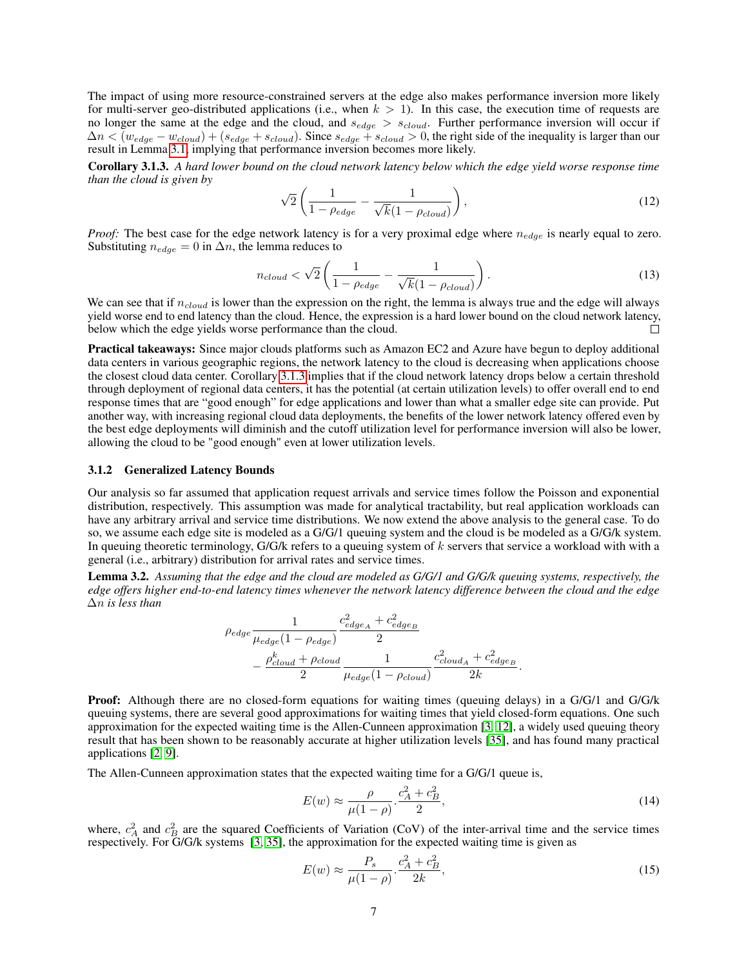The impact of using more resource-constrained servers at the edge also makes performance inversion more likely for multi-server geo-distributed applications (i.e., when  $k > 1$ ). In this case, the execution time of requests are no longer the same at the edge and the cloud, and  $s_{edge} > s_{cloud}$ . Further performance inversion will occur if  $\Delta n < (w_{edge} - w_{cloud}) + (s_{edge} + s_{cloud})$ . Since  $s_{edge} + s_{cloud} > 0$ , the right side of the inequality is larger than our result in Lemma [3.1,](#page-4-2) implying that performance inversion becomes more likely.

<span id="page-6-0"></span>Corollary 3.1.3. *A hard lower bound on the cloud network latency below which the edge yield worse response time than the cloud is given by*

$$
\sqrt{2}\left(\frac{1}{1-\rho_{edge}}-\frac{1}{\sqrt{k}(1-\rho_{cloud})}\right),\tag{12}
$$

*Proof:* The best case for the edge network latency is for a very proximal edge where  $n_{edge}$  is nearly equal to zero. Substituting  $n_{edge} = 0$  in  $\Delta n$ , the lemma reduces to

$$
n_{cloud} < \sqrt{2} \left( \frac{1}{1 - \rho_{edge}} - \frac{1}{\sqrt{k}(1 - \rho_{cloud})} \right). \tag{13}
$$

We can see that if  $n_{cloud}$  is lower than the expression on the right, the lemma is always true and the edge will always yield worse end to end latency than the cloud. Hence, the expression is a hard lower bound on the cloud network latency, below which the edge yields worse performance than the cloud. П

Practical takeaways: Since major clouds platforms such as Amazon EC2 and Azure have begun to deploy additional data centers in various geographic regions, the network latency to the cloud is decreasing when applications choose the closest cloud data center. Corollary [3.1.3](#page-6-0) implies that if the cloud network latency drops below a certain threshold through deployment of regional data centers, it has the potential (at certain utilization levels) to offer overall end to end response times that are "good enough" for edge applications and lower than what a smaller edge site can provide. Put another way, with increasing regional cloud data deployments, the benefits of the lower network latency offered even by the best edge deployments will diminish and the cutoff utilization level for performance inversion will also be lower, allowing the cloud to be "good enough" even at lower utilization levels.

#### 3.1.2 Generalized Latency Bounds

Our analysis so far assumed that application request arrivals and service times follow the Poisson and exponential distribution, respectively. This assumption was made for analytical tractability, but real application workloads can have any arbitrary arrival and service time distributions. We now extend the above analysis to the general case. To do so, we assume each edge site is modeled as a G/G/1 queuing system and the cloud is be modeled as a G/G/k system. In queuing theoretic terminology, G/G/k refers to a queuing system of k servers that service a workload with with a general (i.e., arbitrary) distribution for arrival rates and service times.

Lemma 3.2. *Assuming that the edge and the cloud are modeled as G/G/1 and G/G/k queuing systems, respectively, the edge offers higher end-to-end latency times whenever the network latency difference between the cloud and the edge* ∆n *is less than*

$$
\rho_{edge} \frac{1}{\mu_{edge}(1 - \rho_{edge})} \frac{c_{edge}^2 + c_{edge}^2}{2}
$$
  
 
$$
- \frac{\rho_{cloud}^k + \rho_{cloud}}{2} \frac{1}{\mu_{edge}(1 - \rho_{cloud})} \frac{c_{cloud_A}^2 + c_{edge_B}^2}{2k}.
$$

<span id="page-6-1"></span>Proof: Although there are no closed-form equations for waiting times (queuing delays) in a G/G/1 and G/G/k queuing systems, there are several good approximations for waiting times that yield closed-form equations. One such approximation for the expected waiting time is the Allen-Cunneen approximation [\[3,](#page-13-4) [12\]](#page-14-10), a widely used queuing theory result that has been shown to be reasonably accurate at higher utilization levels [\[35\]](#page-14-11), and has found many practical applications [\[2,](#page-13-5) [9\]](#page-13-6).

The Allen-Cunneen approximation states that the expected waiting time for a G/G/1 queue is,

$$
E(w) \approx \frac{\rho}{\mu(1-\rho)} \cdot \frac{c_A^2 + c_B^2}{2},\tag{14}
$$

where,  $c_A^2$  and  $c_B^2$  are the squared Coefficients of Variation (CoV) of the inter-arrival time and the service times respectively. For G/G/k systems [\[3,](#page-13-4) [35\]](#page-14-11), the approximation for the expected waiting time is given as

<span id="page-6-2"></span>
$$
E(w) \approx \frac{P_s}{\mu(1-\rho)} \cdot \frac{c_A^2 + c_B^2}{2k},\tag{15}
$$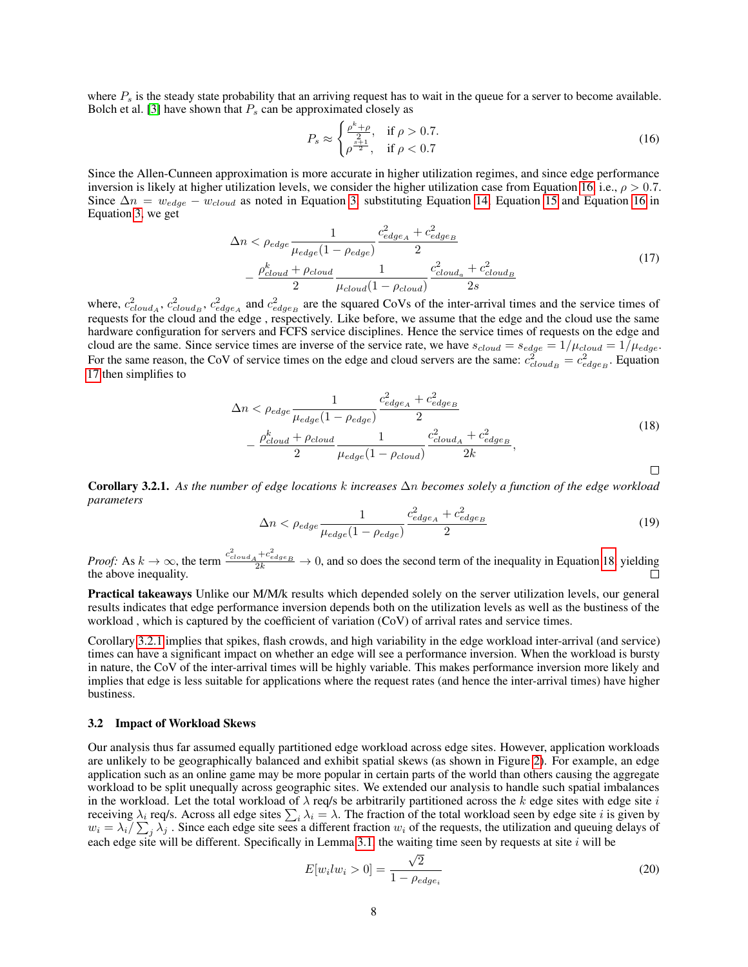where  $P_s$  is the steady state probability that an arriving request has to wait in the queue for a server to become available. Bolch et al. [\[3\]](#page-13-4) have shown that  $P_s$  can be approximated closely as

<span id="page-7-1"></span>
$$
P_s \approx \begin{cases} \frac{\rho^k + \rho}{2}, & \text{if } \rho > 0.7.\\ \rho^{\frac{s+1}{2}}, & \text{if } \rho < 0.7 \end{cases}
$$
 (16)

Since the Allen-Cunneen approximation is more accurate in higher utilization regimes, and since edge performance inversion is likely at higher utilization levels, we consider the higher utilization case from Equation [16,](#page-7-1) i.e.,  $\rho > 0.7$ . Since  $\Delta n = w_{edge} - w_{cloud}$  as noted in Equation [3,](#page-4-3) substituting Equation [14,](#page-6-1) Equation [15](#page-6-2) and Equation [16](#page-7-1) in Equation [3,](#page-4-3) we get

$$
\Delta n < \rho_{edge} \frac{1}{\mu_{edge}(1 - \rho_{edge})} \frac{c_{edge_A}^2 + c_{edge_B}^2}{2}
$$
\n
$$
- \frac{\rho_{cloud}^k + \rho_{cloud}}{2} \frac{1}{\mu_{cloud}(1 - \rho_{cloud})} \frac{c_{cloud_a}^2 + c_{cloud_B}^2}{2s} \tag{17}
$$

<span id="page-7-2"></span>where,  $c_{cloud_A}^2$ ,  $c_{cloud_B}^2$ ,  $c_{edge_A}^2$  and  $c_{edge_B}^2$  are the squared CoVs of the inter-arrival times and the service times of requests for the cloud and the edge , respectively. Like before, we assume that the edge and the cloud use the same hardware configuration for servers and FCFS service disciplines. Hence the service times of requests on the edge and cloud are the same. Since service times are inverse of the service rate, we have  $s_{cloud} = s_{edge} = 1/\mu_{cloud} = 1/\mu_{edge}$ . For the same reason, the CoV of service times on the edge and cloud servers are the same:  $c_{cloud_B}^2 = c_{edge_B}^2$ . Equation [17](#page-7-2) then simplifies to

$$
\Delta n < \rho_{edge} \frac{1}{\mu_{edge}(1 - \rho_{edge})} \frac{c_{edge}^2 + c_{edge}^2}{2}
$$
\n
$$
- \frac{\rho_{cloud}^k + \rho_{cloud}}{2} \frac{1}{\mu_{edge}(1 - \rho_{cloud})} \frac{c_{cloud_A}^2 + c_{edge_B}^2}{2k},
$$
\n
$$
(18)
$$

<span id="page-7-4"></span><span id="page-7-3"></span>Corollary 3.2.1. *As the number of edge locations* k *increases* ∆n *becomes solely a function of the edge workload parameters*

$$
\Delta n < \rho_{edge} \frac{1}{\mu_{edge}(1 - \rho_{edge})} \frac{c_{edge_A}^2 + c_{edge_B}^2}{2} \tag{19}
$$

*Proof:* As  $k \to \infty$ , the term  $\frac{c_{cloud_A}^2 + c_{edge_B}^2}{2k} \to 0$ , and so does the second term of the inequality in Equation [18,](#page-7-3) yielding the above inequality.

Practical takeaways Unlike our M/M/k results which depended solely on the server utilization levels, our general results indicates that edge performance inversion depends both on the utilization levels as well as the bustiness of the workload , which is captured by the coefficient of variation (CoV) of arrival rates and service times.

Corollary [3.2.1](#page-7-4) implies that spikes, flash crowds, and high variability in the edge workload inter-arrival (and service) times can have a significant impact on whether an edge will see a performance inversion. When the workload is bursty in nature, the CoV of the inter-arrival times will be highly variable. This makes performance inversion more likely and implies that edge is less suitable for applications where the request rates (and hence the inter-arrival times) have higher bustiness.

#### <span id="page-7-0"></span>3.2 Impact of Workload Skews

Our analysis thus far assumed equally partitioned edge workload across edge sites. However, application workloads are unlikely to be geographically balanced and exhibit spatial skews (as shown in Figure [2\)](#page-3-0). For example, an edge application such as an online game may be more popular in certain parts of the world than others causing the aggregate workload to be split unequally across geographic sites. We extended our analysis to handle such spatial imbalances in the workload. Let the total workload of  $\lambda$  req/s be arbitrarily partitioned across the k edge sites with edge site i receiving  $\lambda_i$  req/s. Across all edge sites  $\sum_i \lambda_i = \lambda$ . The fraction of the total workload seen by edge site *i* is given by  $w_i = \lambda_i / \sum_j \lambda_j$ . Since each edge site sees a different fraction  $w_i$  of the requests, the utilization and queuing delays of each edge site will be different. Specifically in Lemma [3.1,](#page-4-2) the waiting time seen by requests at site  $i$  will be

<span id="page-7-5"></span>
$$
E[w_i l w_i > 0] = \frac{\sqrt{2}}{1 - \rho_{edge_i}}\tag{20}
$$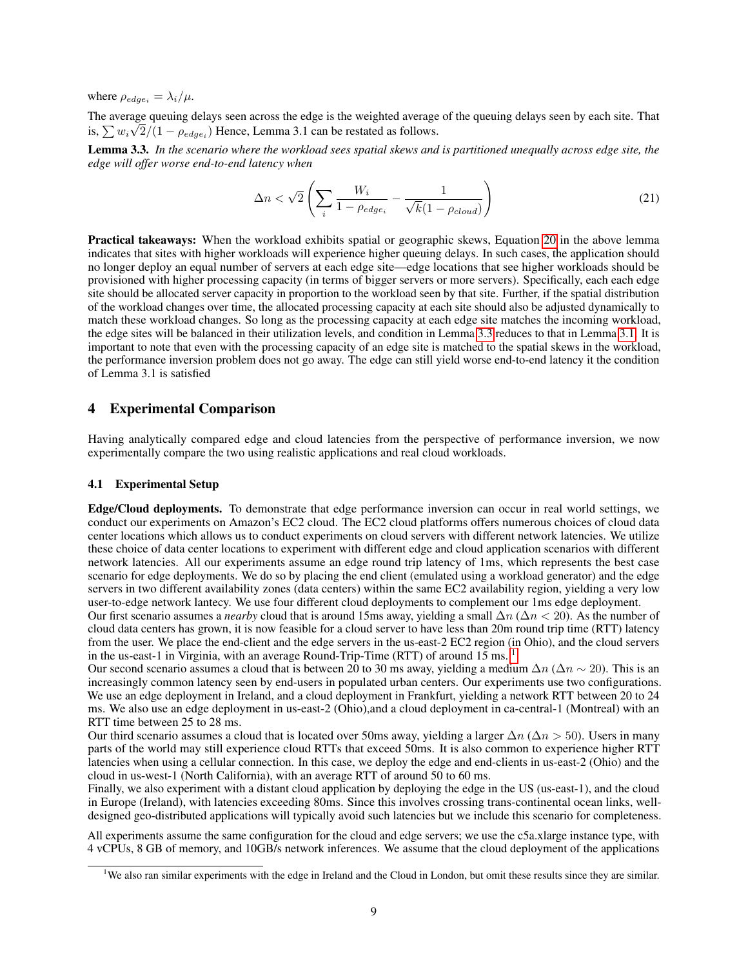where  $\rho_{edge_i} = \lambda_i / \mu$ .

The average queuing delays seen across the edge is the weighted average of the queuing delays seen by each site. That is,  $\sum w_i \sqrt{2/(1 - \rho_{edge_i})}$  Hence, Lemma 3.1 can be restated as follows.

<span id="page-8-0"></span>Lemma 3.3. *In the scenario where the workload sees spatial skews and is partitioned unequally across edge site, the edge will offer worse end-to-end latency when*

$$
\Delta n < \sqrt{2} \left( \sum_{i} \frac{W_i}{1 - \rho_{edge_i}} - \frac{1}{\sqrt{k} (1 - \rho_{cloud})} \right) \tag{21}
$$

Practical takeaways: When the workload exhibits spatial or geographic skews, Equation [20](#page-7-5) in the above lemma indicates that sites with higher workloads will experience higher queuing delays. In such cases, the application should no longer deploy an equal number of servers at each edge site—edge locations that see higher workloads should be provisioned with higher processing capacity (in terms of bigger servers or more servers). Specifically, each each edge site should be allocated server capacity in proportion to the workload seen by that site. Further, if the spatial distribution of the workload changes over time, the allocated processing capacity at each site should also be adjusted dynamically to match these workload changes. So long as the processing capacity at each edge site matches the incoming workload, the edge sites will be balanced in their utilization levels, and condition in Lemma [3.3](#page-8-0) reduces to that in Lemma [3.1.](#page-4-2) It is important to note that even with the processing capacity of an edge site is matched to the spatial skews in the workload, the performance inversion problem does not go away. The edge can still yield worse end-to-end latency it the condition of Lemma 3.1 is satisfied

## 4 Experimental Comparison

Having analytically compared edge and cloud latencies from the perspective of performance inversion, we now experimentally compare the two using realistic applications and real cloud workloads.

#### 4.1 Experimental Setup

Edge/Cloud deployments. To demonstrate that edge performance inversion can occur in real world settings, we conduct our experiments on Amazon's EC2 cloud. The EC2 cloud platforms offers numerous choices of cloud data center locations which allows us to conduct experiments on cloud servers with different network latencies. We utilize these choice of data center locations to experiment with different edge and cloud application scenarios with different network latencies. All our experiments assume an edge round trip latency of 1ms, which represents the best case scenario for edge deployments. We do so by placing the end client (emulated using a workload generator) and the edge servers in two different availability zones (data centers) within the same EC2 availability region, yielding a very low user-to-edge network lantecy. We use four different cloud deployments to complement our 1ms edge deployment.

Our first scenario assumes a *nearby* cloud that is around 15ms away, yielding a small ∆n (∆n < 20). As the number of cloud data centers has grown, it is now feasible for a cloud server to have less than 20m round trip time (RTT) latency from the user. We place the end-client and the edge servers in the us-east-2 EC2 region (in Ohio), and the cloud servers in the us-east-[1](#page-8-1) in Virginia, with an average Round-Trip-Time (RTT) of around 15 ms. <sup>1</sup>

Our second scenario assumes a cloud that is between 20 to 30 ms away, yielding a medium  $\Delta n$  ( $\Delta n \sim 20$ ). This is an increasingly common latency seen by end-users in populated urban centers. Our experiments use two configurations. We use an edge deployment in Ireland, and a cloud deployment in Frankfurt, yielding a network RTT between 20 to 24 ms. We also use an edge deployment in us-east-2 (Ohio),and a cloud deployment in ca-central-1 (Montreal) with an RTT time between 25 to 28 ms.

Our third scenario assumes a cloud that is located over 50ms away, yielding a larger  $\Delta n$  ( $\Delta n > 50$ ). Users in many parts of the world may still experience cloud RTTs that exceed 50ms. It is also common to experience higher RTT latencies when using a cellular connection. In this case, we deploy the edge and end-clients in us-east-2 (Ohio) and the cloud in us-west-1 (North California), with an average RTT of around 50 to 60 ms.

Finally, we also experiment with a distant cloud application by deploying the edge in the US (us-east-1), and the cloud in Europe (Ireland), with latencies exceeding 80ms. Since this involves crossing trans-continental ocean links, welldesigned geo-distributed applications will typically avoid such latencies but we include this scenario for completeness.

All experiments assume the same configuration for the cloud and edge servers; we use the c5a.xlarge instance type, with 4 vCPUs, 8 GB of memory, and 10GB/s network inferences. We assume that the cloud deployment of the applications

<span id="page-8-1"></span><sup>&</sup>lt;sup>1</sup>We also ran similar experiments with the edge in Ireland and the Cloud in London, but omit these results since they are similar.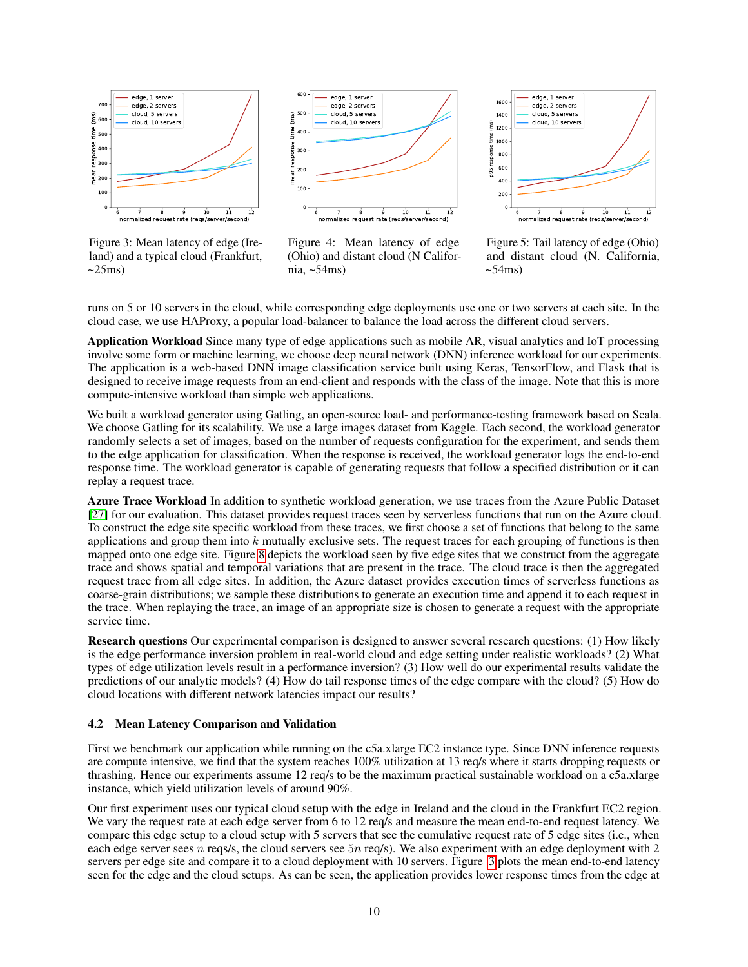

<span id="page-9-0"></span>Figure 3: Mean latency of edge (Ireland) and a typical cloud (Frankfurt,  $\sim$ 25ms)



<span id="page-9-1"></span>Figure 4: Mean latency of edge (Ohio) and distant cloud (N California, ~54ms)



<span id="page-9-2"></span>Figure 5: Tail latency of edge (Ohio) and distant cloud (N. California,  $\sim$ 54ms)

runs on 5 or 10 servers in the cloud, while corresponding edge deployments use one or two servers at each site. In the cloud case, we use HAProxy, a popular load-balancer to balance the load across the different cloud servers.

Application Workload Since many type of edge applications such as mobile AR, visual analytics and IoT processing involve some form or machine learning, we choose deep neural network (DNN) inference workload for our experiments. The application is a web-based DNN image classification service built using Keras, TensorFlow, and Flask that is designed to receive image requests from an end-client and responds with the class of the image. Note that this is more compute-intensive workload than simple web applications.

We built a workload generator using Gatling, an open-source load- and performance-testing framework based on Scala. We choose Gatling for its scalability. We use a large images dataset from Kaggle. Each second, the workload generator randomly selects a set of images, based on the number of requests configuration for the experiment, and sends them to the edge application for classification. When the response is received, the workload generator logs the end-to-end response time. The workload generator is capable of generating requests that follow a specified distribution or it can replay a request trace.

Azure Trace Workload In addition to synthetic workload generation, we use traces from the Azure Public Dataset [\[27\]](#page-14-12) for our evaluation. This dataset provides request traces seen by serverless functions that run on the Azure cloud. To construct the edge site specific workload from these traces, we first choose a set of functions that belong to the same applications and group them into  $k$  mutually exclusive sets. The request traces for each grouping of functions is then mapped onto one edge site. Figure [8](#page-11-0) depicts the workload seen by five edge sites that we construct from the aggregate trace and shows spatial and temporal variations that are present in the trace. The cloud trace is then the aggregated request trace from all edge sites. In addition, the Azure dataset provides execution times of serverless functions as coarse-grain distributions; we sample these distributions to generate an execution time and append it to each request in the trace. When replaying the trace, an image of an appropriate size is chosen to generate a request with the appropriate service time.

Research questions Our experimental comparison is designed to answer several research questions: (1) How likely is the edge performance inversion problem in real-world cloud and edge setting under realistic workloads? (2) What types of edge utilization levels result in a performance inversion? (3) How well do our experimental results validate the predictions of our analytic models? (4) How do tail response times of the edge compare with the cloud? (5) How do cloud locations with different network latencies impact our results?

#### 4.2 Mean Latency Comparison and Validation

First we benchmark our application while running on the c5a.xlarge EC2 instance type. Since DNN inference requests are compute intensive, we find that the system reaches 100% utilization at 13 req/s where it starts dropping requests or thrashing. Hence our experiments assume 12 req/s to be the maximum practical sustainable workload on a c5a.xlarge instance, which yield utilization levels of around 90%.

Our first experiment uses our typical cloud setup with the edge in Ireland and the cloud in the Frankfurt EC2 region. We vary the request rate at each edge server from 6 to 12 req/s and measure the mean end-to-end request latency. We compare this edge setup to a cloud setup with 5 servers that see the cumulative request rate of 5 edge sites (i.e., when each edge server sees n reqs/s, the cloud servers see 5n req/s). We also experiment with an edge deployment with 2 servers per edge site and compare it to a cloud deployment with 10 servers. Figure [3](#page-9-0) plots the mean end-to-end latency seen for the edge and the cloud setups. As can be seen, the application provides lower response times from the edge at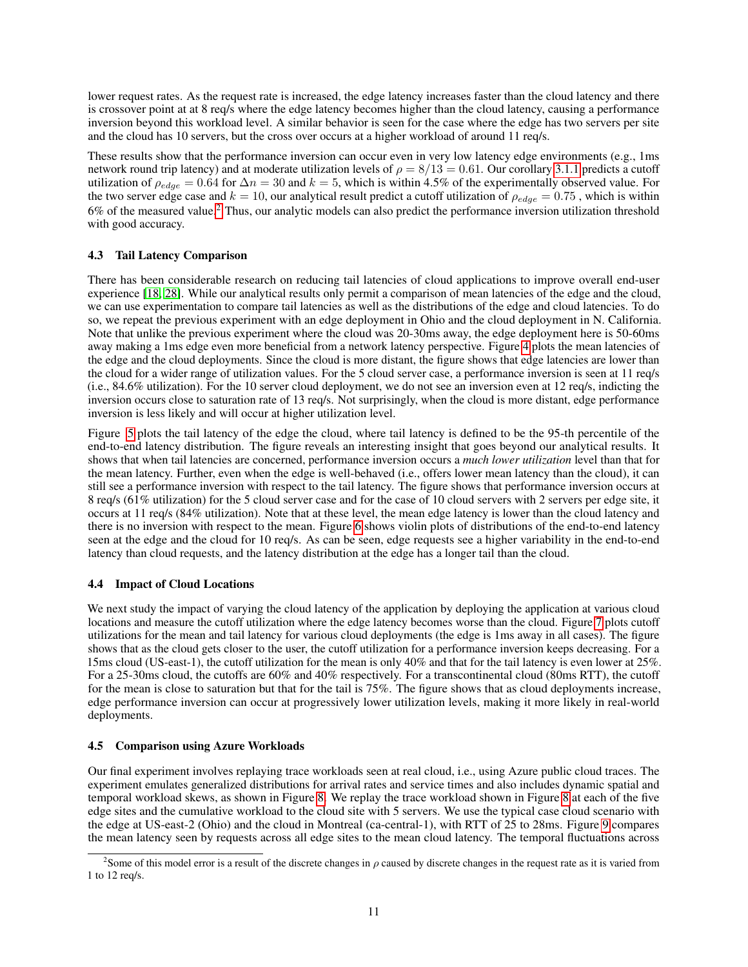lower request rates. As the request rate is increased, the edge latency increases faster than the cloud latency and there is crossover point at at 8 req/s where the edge latency becomes higher than the cloud latency, causing a performance inversion beyond this workload level. A similar behavior is seen for the case where the edge has two servers per site and the cloud has 10 servers, but the cross over occurs at a higher workload of around 11 req/s.

These results show that the performance inversion can occur even in very low latency edge environments (e.g., 1ms) network round trip latency) and at moderate utilization levels of  $\rho = 8/13 = 0.61$ . Our corollary [3.1.1](#page-5-1) predicts a cutoff utilization of  $\rho_{edge} = 0.64$  for  $\Delta n = 30$  and  $k = 5$ , which is within 4.5% of the experimentally observed value. For the two server edge case and  $k = 10$ , our analytical result predict a cutoff utilization of  $\rho_{edge} = 0.75$ , which is within 6% of the measured value.[2](#page-10-0) Thus, our analytic models can also predict the performance inversion utilization threshold with good accuracy.

## 4.3 Tail Latency Comparison

There has been considerable research on reducing tail latencies of cloud applications to improve overall end-user experience [\[18,](#page-14-13) [28\]](#page-14-14). While our analytical results only permit a comparison of mean latencies of the edge and the cloud, we can use experimentation to compare tail latencies as well as the distributions of the edge and cloud latencies. To do so, we repeat the previous experiment with an edge deployment in Ohio and the cloud deployment in N. California. Note that unlike the previous experiment where the cloud was 20-30ms away, the edge deployment here is 50-60ms away making a 1ms edge even more beneficial from a network latency perspective. Figure [4](#page-9-1) plots the mean latencies of the edge and the cloud deployments. Since the cloud is more distant, the figure shows that edge latencies are lower than the cloud for a wider range of utilization values. For the 5 cloud server case, a performance inversion is seen at 11 req/s (i.e., 84.6% utilization). For the 10 server cloud deployment, we do not see an inversion even at 12 req/s, indicting the inversion occurs close to saturation rate of 13 req/s. Not surprisingly, when the cloud is more distant, edge performance inversion is less likely and will occur at higher utilization level.

Figure [5](#page-9-2) plots the tail latency of the edge the cloud, where tail latency is defined to be the 95-th percentile of the end-to-end latency distribution. The figure reveals an interesting insight that goes beyond our analytical results. It shows that when tail latencies are concerned, performance inversion occurs a *much lower utilization* level than that for the mean latency. Further, even when the edge is well-behaved (i.e., offers lower mean latency than the cloud), it can still see a performance inversion with respect to the tail latency. The figure shows that performance inversion occurs at 8 req/s (61% utilization) for the 5 cloud server case and for the case of 10 cloud servers with 2 servers per edge site, it occurs at 11 req/s (84% utilization). Note that at these level, the mean edge latency is lower than the cloud latency and there is no inversion with respect to the mean. Figure [6](#page-11-1) shows violin plots of distributions of the end-to-end latency seen at the edge and the cloud for 10 req/s. As can be seen, edge requests see a higher variability in the end-to-end latency than cloud requests, and the latency distribution at the edge has a longer tail than the cloud.

## 4.4 Impact of Cloud Locations

We next study the impact of varying the cloud latency of the application by deploying the application at various cloud locations and measure the cutoff utilization where the edge latency becomes worse than the cloud. Figure [7](#page-11-2) plots cutoff utilizations for the mean and tail latency for various cloud deployments (the edge is 1ms away in all cases). The figure shows that as the cloud gets closer to the user, the cutoff utilization for a performance inversion keeps decreasing. For a 15ms cloud (US-east-1), the cutoff utilization for the mean is only 40% and that for the tail latency is even lower at 25%. For a 25-30ms cloud, the cutoffs are 60% and 40% respectively. For a transcontinental cloud (80ms RTT), the cutoff for the mean is close to saturation but that for the tail is 75%. The figure shows that as cloud deployments increase, edge performance inversion can occur at progressively lower utilization levels, making it more likely in real-world deployments.

## 4.5 Comparison using Azure Workloads

Our final experiment involves replaying trace workloads seen at real cloud, i.e., using Azure public cloud traces. The experiment emulates generalized distributions for arrival rates and service times and also includes dynamic spatial and temporal workload skews, as shown in Figure [8.](#page-11-0) We replay the trace workload shown in Figure [8](#page-11-0) at each of the five edge sites and the cumulative workload to the cloud site with 5 servers. We use the typical case cloud scenario with the edge at US-east-2 (Ohio) and the cloud in Montreal (ca-central-1), with RTT of 25 to 28ms. Figure [9](#page-11-3) compares the mean latency seen by requests across all edge sites to the mean cloud latency. The temporal fluctuations across

<span id="page-10-0"></span><sup>&</sup>lt;sup>2</sup> Some of this model error is a result of the discrete changes in  $\rho$  caused by discrete changes in the request rate as it is varied from 1 to 12 req/s.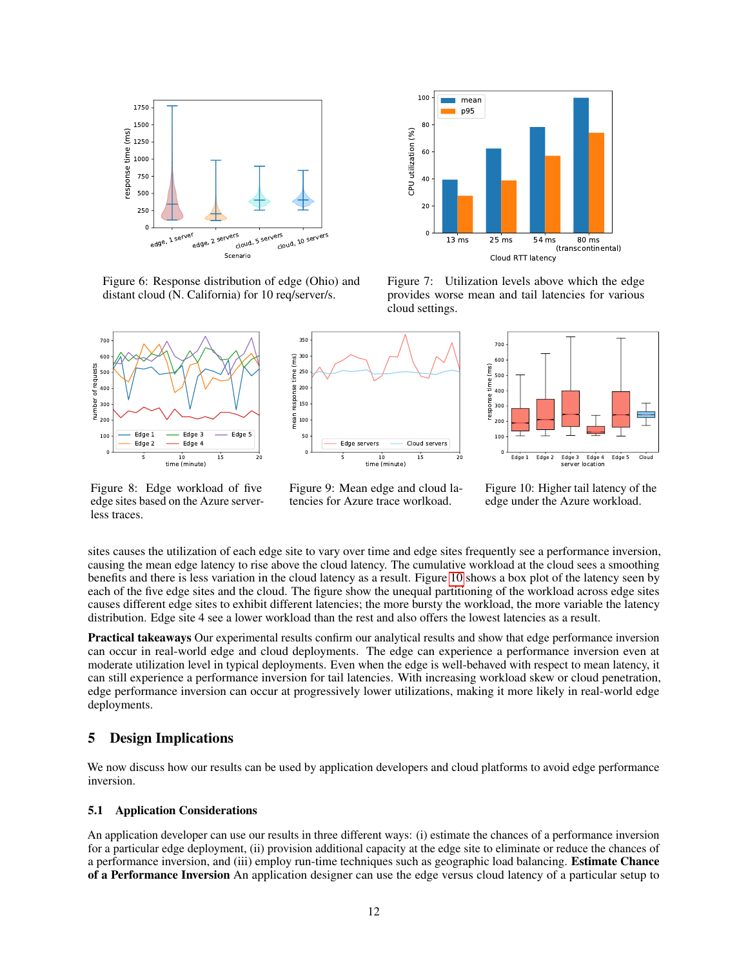

<span id="page-11-1"></span>Figure 6: Response distribution of edge (Ohio) and distant cloud (N. California) for 10 req/server/s.



<span id="page-11-0"></span>Figure 8: Edge workload of five edge sites based on the Azure serverless traces.



<span id="page-11-3"></span>Figure 9: Mean edge and cloud latencies for Azure trace worlkoad.



<span id="page-11-2"></span>Figure 7: Utilization levels above which the edge provides worse mean and tail latencies for various cloud settings.



<span id="page-11-4"></span>Figure 10: Higher tail latency of the edge under the Azure workload.

sites causes the utilization of each edge site to vary over time and edge sites frequently see a performance inversion, causing the mean edge latency to rise above the cloud latency. The cumulative workload at the cloud sees a smoothing benefits and there is less variation in the cloud latency as a result. Figure [10](#page-11-4) shows a box plot of the latency seen by each of the five edge sites and the cloud. The figure show the unequal partitioning of the workload across edge sites causes different edge sites to exhibit different latencies; the more bursty the workload, the more variable the latency distribution. Edge site 4 see a lower workload than the rest and also offers the lowest latencies as a result.

Practical takeaways Our experimental results confirm our analytical results and show that edge performance inversion can occur in real-world edge and cloud deployments. The edge can experience a performance inversion even at moderate utilization level in typical deployments. Even when the edge is well-behaved with respect to mean latency, it can still experience a performance inversion for tail latencies. With increasing workload skew or cloud penetration, edge performance inversion can occur at progressively lower utilizations, making it more likely in real-world edge deployments.

## 5 Design Implications

We now discuss how our results can be used by application developers and cloud platforms to avoid edge performance inversion.

#### 5.1 Application Considerations

An application developer can use our results in three different ways: (i) estimate the chances of a performance inversion for a particular edge deployment, (ii) provision additional capacity at the edge site to eliminate or reduce the chances of a performance inversion, and (iii) employ run-time techniques such as geographic load balancing. Estimate Chance of a Performance Inversion An application designer can use the edge versus cloud latency of a particular setup to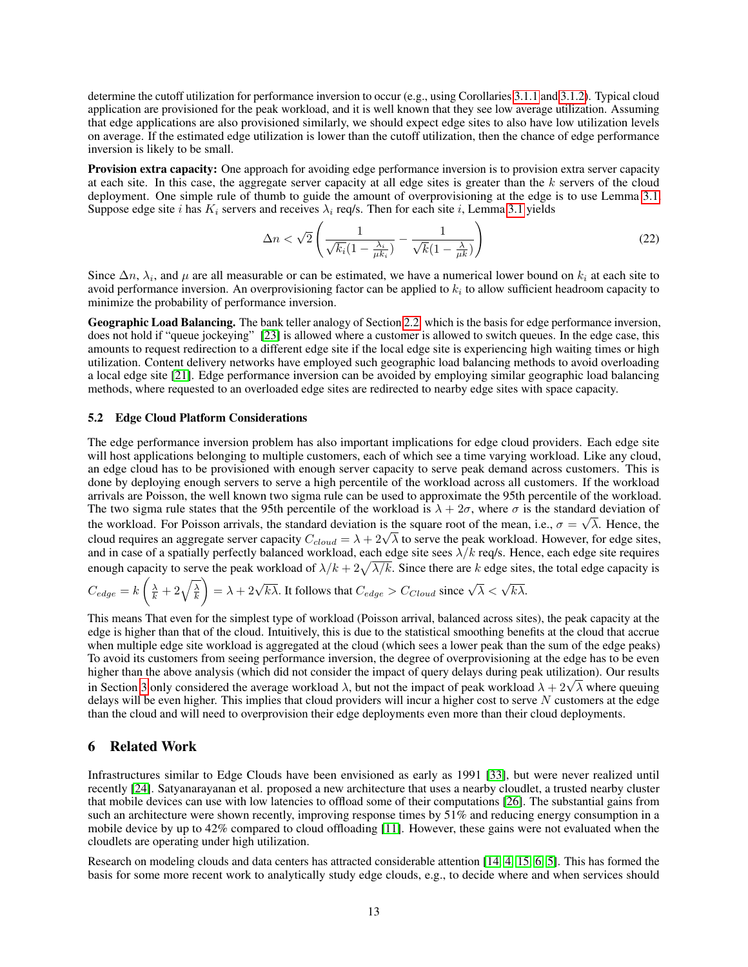determine the cutoff utilization for performance inversion to occur (e.g., using Corollaries [3.1.1](#page-5-1) and [3.1.2\)](#page-5-2). Typical cloud application are provisioned for the peak workload, and it is well known that they see low average utilization. Assuming that edge applications are also provisioned similarly, we should expect edge sites to also have low utilization levels on average. If the estimated edge utilization is lower than the cutoff utilization, then the chance of edge performance inversion is likely to be small.

Provision extra capacity: One approach for avoiding edge performance inversion is to provision extra server capacity at each site. In this case, the aggregate server capacity at all edge sites is greater than the  $k$  servers of the cloud deployment. One simple rule of thumb to guide the amount of overprovisioning at the edge is to use Lemma [3.1.](#page-4-2) Suppose edge site *i* has  $K_i$  servers and receives  $\lambda_i$  req/s. Then for each site *i*, Lemma [3.1](#page-4-2) yields

$$
\Delta n < \sqrt{2} \left( \frac{1}{\sqrt{k_i} (1 - \frac{\lambda_i}{\mu k_i})} - \frac{1}{\sqrt{k} (1 - \frac{\lambda}{\mu k})} \right) \tag{22}
$$

Since  $\Delta n$ ,  $\lambda_i$ , and  $\mu$  are all measurable or can be estimated, we have a numerical lower bound on  $k_i$  at each site to avoid performance inversion. An overprovisioning factor can be applied to  $k_i$  to allow sufficient headroom capacity to minimize the probability of performance inversion.

Geographic Load Balancing. The bank teller analogy of Section [2.2,](#page-1-0) which is the basis for edge performance inversion, does not hold if "queue jockeying" [\[23\]](#page-14-6) is allowed where a customer is allowed to switch queues. In the edge case, this amounts to request redirection to a different edge site if the local edge site is experiencing high waiting times or high utilization. Content delivery networks have employed such geographic load balancing methods to avoid overloading a local edge site [\[21\]](#page-14-15). Edge performance inversion can be avoided by employing similar geographic load balancing methods, where requested to an overloaded edge sites are redirected to nearby edge sites with space capacity.

#### 5.2 Edge Cloud Platform Considerations

The edge performance inversion problem has also important implications for edge cloud providers. Each edge site will host applications belonging to multiple customers, each of which see a time varying workload. Like any cloud, an edge cloud has to be provisioned with enough server capacity to serve peak demand across customers. This is done by deploying enough servers to serve a high percentile of the workload across all customers. If the workload arrivals are Poisson, the well known two sigma rule can be used to approximate the 95th percentile of the workload. The two sigma rule states that the 95th percentile of the workload is  $\lambda + 2\sigma$ , where  $\sigma$  is the standard deviation of the workload. For Poisson arrivals, the standard deviation is the square root of the mean, i.e.,  $\sigma = \sqrt{\lambda}$ . Hence, the The workload. For Poisson arrivals, the standard deviation is the square root of the mean, i.e.,  $\sigma = \sqrt{\lambda}$ . Hence, the cloud requires an aggregate server capacity  $C_{cloud} = \lambda + 2\sqrt{\lambda}$  to serve the peak workload. However, fo and in case of a spatially perfectly balanced workload, each edge site sees  $\lambda/k$  req/s. Hence, each edge site requires enough capacity to serve the peak workload of  $\lambda/k + 2\sqrt{\lambda/k}$ . Since there are k edge sites, the total edge capacity is

$$
C_{edge} = k\left(\frac{\lambda}{k} + 2\sqrt{\frac{\lambda}{k}}\right) = \lambda + 2\sqrt{k\lambda}.
$$
 It follows that  $C_{edge} > C_{Cloud}$  since  $\sqrt{\lambda} < \sqrt{k\lambda}$ .

This means That even for the simplest type of workload (Poisson arrival, balanced across sites), the peak capacity at the edge is higher than that of the cloud. Intuitively, this is due to the statistical smoothing benefits at the cloud that accrue when multiple edge site workload is aggregated at the cloud (which sees a lower peak than the sum of the edge peaks) To avoid its customers from seeing performance inversion, the degree of overprovisioning at the edge has to be even higher than the above analysis (which did not consider the impact of query delays during peak utilization). Our results mgner than the above analysis (which did not consider the impact of query delays during peak utilization). Our results<br>in Section [3](#page-3-1) only considered the average workload  $\lambda$ , but not the impact of peak workload  $\lambda + 2\sqrt{\lambda$ delays will be even higher. This implies that cloud providers will incur a higher cost to serve N customers at the edge than the cloud and will need to overprovision their edge deployments even more than their cloud deployments.

#### 6 Related Work

Infrastructures similar to Edge Clouds have been envisioned as early as 1991 [\[33\]](#page-14-16), but were never realized until recently [\[24\]](#page-14-17). Satyanarayanan et al. proposed a new architecture that uses a nearby cloudlet, a trusted nearby cluster that mobile devices can use with low latencies to offload some of their computations [\[26\]](#page-14-0). The substantial gains from such an architecture were shown recently, improving response times by 51% and reducing energy consumption in a mobile device by up to 42% compared to cloud offloading [\[11\]](#page-13-7). However, these gains were not evaluated when the cloudlets are operating under high utilization.

Research on modeling clouds and data centers has attracted considerable attention [\[14,](#page-14-18) [4,](#page-13-8) [15,](#page-14-19) [6,](#page-13-9) [5\]](#page-13-10). This has formed the basis for some more recent work to analytically study edge clouds, e.g., to decide where and when services should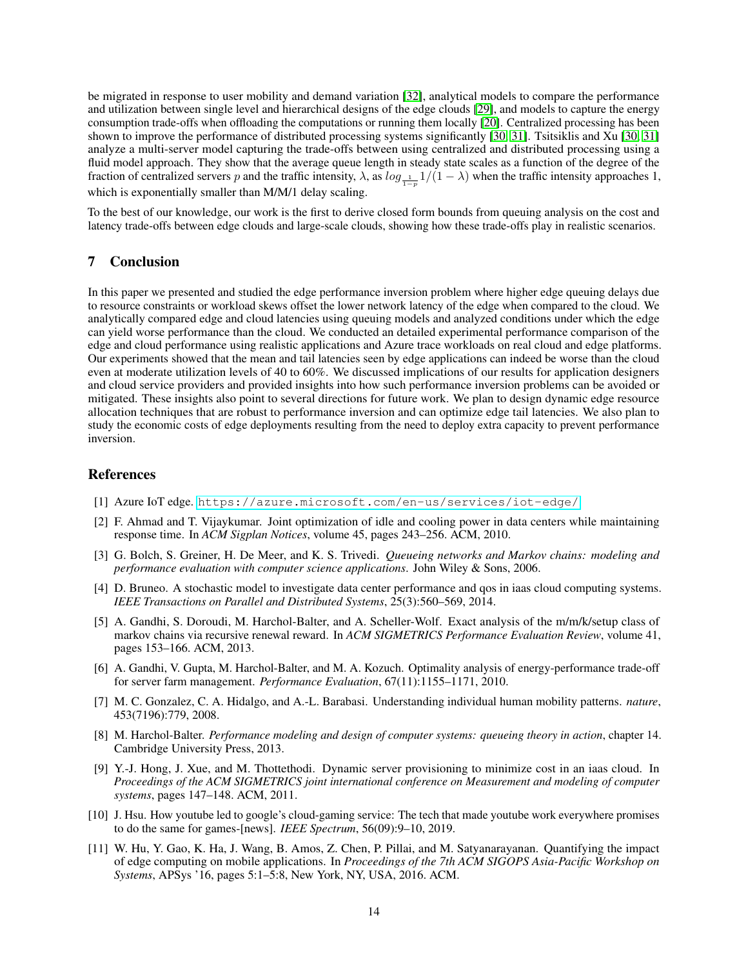be migrated in response to user mobility and demand variation [\[32\]](#page-14-20), analytical models to compare the performance and utilization between single level and hierarchical designs of the edge clouds [\[29\]](#page-14-21), and models to capture the energy consumption trade-offs when offloading the computations or running them locally [\[20\]](#page-14-22). Centralized processing has been shown to improve the performance of distributed processing systems significantly [\[30,](#page-14-23) [31\]](#page-14-24). Tsitsiklis and Xu [\[30,](#page-14-23) [31\]](#page-14-24) analyze a multi-server model capturing the trade-offs between using centralized and distributed processing using a fluid model approach. They show that the average queue length in steady state scales as a function of the degree of the fraction of centralized servers p and the traffic intensity,  $\lambda$ , as  $log_{\frac{1}{1-p}} 1/(1-\lambda)$  when the traffic intensity approaches 1, which is exponentially smaller than M/M/1 delay scaling.

To the best of our knowledge, our work is the first to derive closed form bounds from queuing analysis on the cost and latency trade-offs between edge clouds and large-scale clouds, showing how these trade-offs play in realistic scenarios.

# 7 Conclusion

In this paper we presented and studied the edge performance inversion problem where higher edge queuing delays due to resource constraints or workload skews offset the lower network latency of the edge when compared to the cloud. We analytically compared edge and cloud latencies using queuing models and analyzed conditions under which the edge can yield worse performance than the cloud. We conducted an detailed experimental performance comparison of the edge and cloud performance using realistic applications and Azure trace workloads on real cloud and edge platforms. Our experiments showed that the mean and tail latencies seen by edge applications can indeed be worse than the cloud even at moderate utilization levels of 40 to 60%. We discussed implications of our results for application designers and cloud service providers and provided insights into how such performance inversion problems can be avoided or mitigated. These insights also point to several directions for future work. We plan to design dynamic edge resource allocation techniques that are robust to performance inversion and can optimize edge tail latencies. We also plan to study the economic costs of edge deployments resulting from the need to deploy extra capacity to prevent performance inversion.

## References

- <span id="page-13-1"></span>[1] Azure IoT edge. <https://azure.microsoft.com/en-us/services/iot-edge/>.
- <span id="page-13-5"></span>[2] F. Ahmad and T. Vijaykumar. Joint optimization of idle and cooling power in data centers while maintaining response time. In *ACM Sigplan Notices*, volume 45, pages 243–256. ACM, 2010.
- <span id="page-13-4"></span>[3] G. Bolch, S. Greiner, H. De Meer, and K. S. Trivedi. *Queueing networks and Markov chains: modeling and performance evaluation with computer science applications*. John Wiley & Sons, 2006.
- <span id="page-13-8"></span>[4] D. Bruneo. A stochastic model to investigate data center performance and qos in iaas cloud computing systems. *IEEE Transactions on Parallel and Distributed Systems*, 25(3):560–569, 2014.
- <span id="page-13-10"></span>[5] A. Gandhi, S. Doroudi, M. Harchol-Balter, and A. Scheller-Wolf. Exact analysis of the m/m/k/setup class of markov chains via recursive renewal reward. In *ACM SIGMETRICS Performance Evaluation Review*, volume 41, pages 153–166. ACM, 2013.
- <span id="page-13-9"></span>[6] A. Gandhi, V. Gupta, M. Harchol-Balter, and M. A. Kozuch. Optimality analysis of energy-performance trade-off for server farm management. *Performance Evaluation*, 67(11):1155–1171, 2010.
- <span id="page-13-3"></span>[7] M. C. Gonzalez, C. A. Hidalgo, and A.-L. Barabasi. Understanding individual human mobility patterns. *nature*, 453(7196):779, 2008.
- <span id="page-13-2"></span>[8] M. Harchol-Balter. *Performance modeling and design of computer systems: queueing theory in action*, chapter 14. Cambridge University Press, 2013.
- <span id="page-13-6"></span>[9] Y.-J. Hong, J. Xue, and M. Thottethodi. Dynamic server provisioning to minimize cost in an iaas cloud. In *Proceedings of the ACM SIGMETRICS joint international conference on Measurement and modeling of computer systems*, pages 147–148. ACM, 2011.
- <span id="page-13-0"></span>[10] J. Hsu. How youtube led to google's cloud-gaming service: The tech that made youtube work everywhere promises to do the same for games-[news]. *IEEE Spectrum*, 56(09):9–10, 2019.
- <span id="page-13-7"></span>[11] W. Hu, Y. Gao, K. Ha, J. Wang, B. Amos, Z. Chen, P. Pillai, and M. Satyanarayanan. Quantifying the impact of edge computing on mobile applications. In *Proceedings of the 7th ACM SIGOPS Asia-Pacific Workshop on Systems*, APSys '16, pages 5:1–5:8, New York, NY, USA, 2016. ACM.